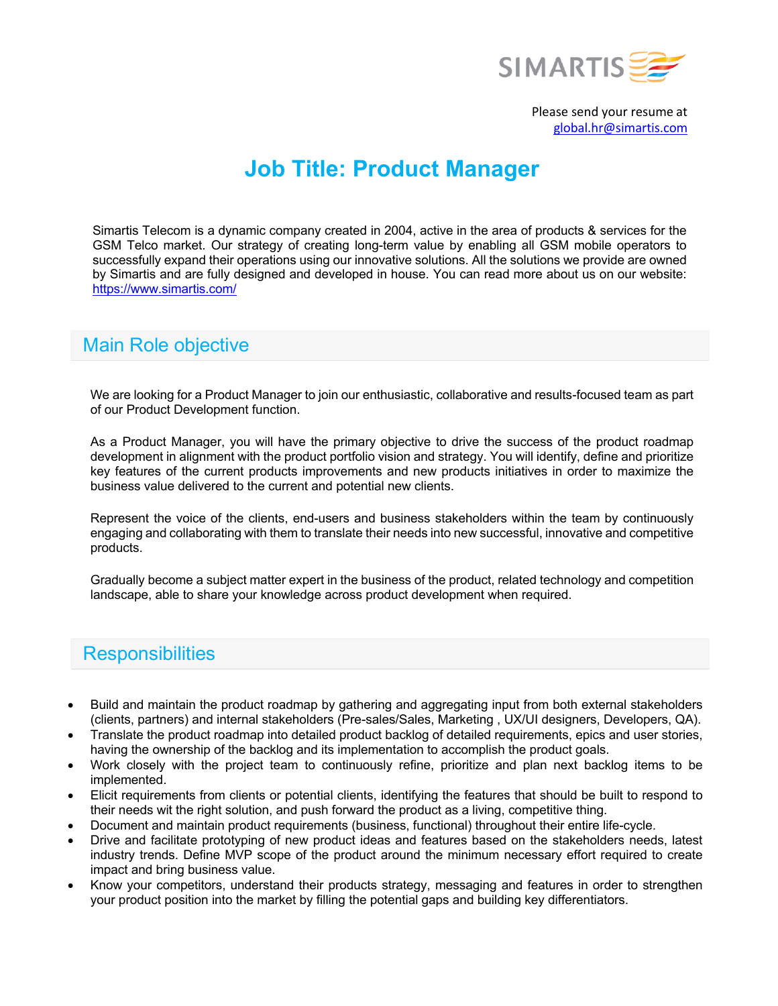

Please send your resume at global.hr@simartis.com

# **Job Title: Product Manager**

Simartis Telecom is a dynamic company created in 2004, active in the area of products & services for the GSM Telco market. Our strategy of creating long-term value by enabling all GSM mobile operators to successfully expand their operations using our innovative solutions. All the solutions we provide are owned by Simartis and are fully designed and developed in house. You can read more about us on our website: https://www.simartis.com/

### Main Role objective

We are looking for a Product Manager to join our enthusiastic, collaborative and results-focused team as part of our Product Development function.

As a Product Manager, you will have the primary objective to drive the success of the product roadmap development in alignment with the product portfolio vision and strategy. You will identify, define and prioritize key features of the current products improvements and new products initiatives in order to maximize the business value delivered to the current and potential new clients.

Represent the voice of the clients, end-users and business stakeholders within the team by continuously engaging and collaborating with them to translate their needs into new successful, innovative and competitive products.

Gradually become a subject matter expert in the business of the product, related technology and competition landscape, able to share your knowledge across product development when required.

#### **Responsibilities**

- Build and maintain the product roadmap by gathering and aggregating input from both external stakeholders (clients, partners) and internal stakeholders (Pre-sales/Sales, Marketing , UX/UI designers, Developers, QA).
- Translate the product roadmap into detailed product backlog of detailed requirements, epics and user stories, having the ownership of the backlog and its implementation to accomplish the product goals.
- Work closely with the project team to continuously refine, prioritize and plan next backlog items to be implemented.
- Elicit requirements from clients or potential clients, identifying the features that should be built to respond to their needs wit the right solution, and push forward the product as a living, competitive thing.
- Document and maintain product requirements (business, functional) throughout their entire life-cycle.
- Drive and facilitate prototyping of new product ideas and features based on the stakeholders needs, latest industry trends. Define MVP scope of the product around the minimum necessary effort required to create impact and bring business value.
- Know your competitors, understand their products strategy, messaging and features in order to strengthen your product position into the market by filling the potential gaps and building key differentiators.